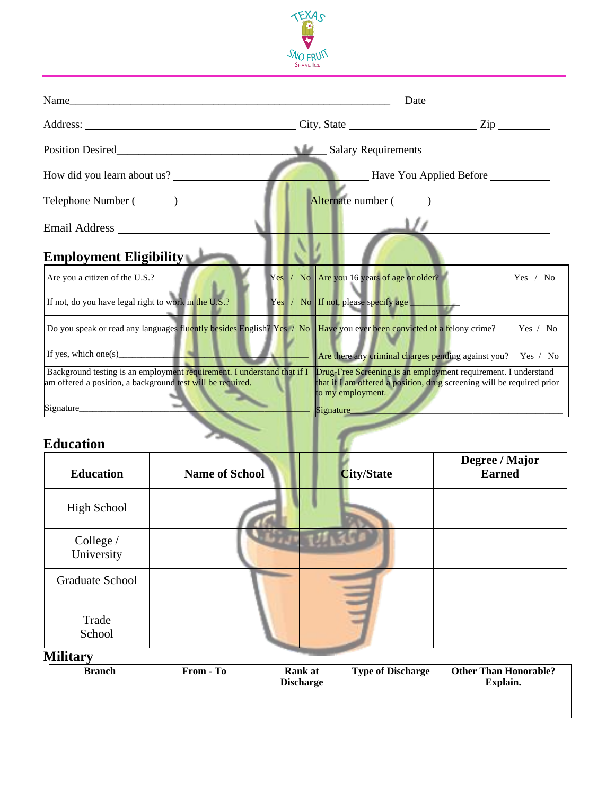

| Name                                                                                                                                  | Date and the same state of the state of the state of the state of the state of the state of the state of the state of the state of the state of the state of the state of the state of the state of the state of the state of<br><u> 1989 - Jan Samuel Barbara, menyebaran pendang pada 1980 - pada 2001 - pada 2001 - pada 2001 - pada 2001 - pada</u> |          |  |
|---------------------------------------------------------------------------------------------------------------------------------------|---------------------------------------------------------------------------------------------------------------------------------------------------------------------------------------------------------------------------------------------------------------------------------------------------------------------------------------------------------|----------|--|
|                                                                                                                                       |                                                                                                                                                                                                                                                                                                                                                         |          |  |
|                                                                                                                                       |                                                                                                                                                                                                                                                                                                                                                         |          |  |
| How did you learn about us?                                                                                                           | Have You Applied Before                                                                                                                                                                                                                                                                                                                                 |          |  |
|                                                                                                                                       |                                                                                                                                                                                                                                                                                                                                                         |          |  |
|                                                                                                                                       |                                                                                                                                                                                                                                                                                                                                                         |          |  |
| <b>Employment Eligibility</b>                                                                                                         |                                                                                                                                                                                                                                                                                                                                                         |          |  |
| Are you a citizen of the U.S.?                                                                                                        | Yes / No Are you 16 years of age or older?                                                                                                                                                                                                                                                                                                              | Yes / No |  |
| If not, do you have legal right to work in the U.S.?                                                                                  | Yes / No If not, please specify age _______                                                                                                                                                                                                                                                                                                             |          |  |
| Do you speak or read any languages fluently besides English? Yes / No Have you ever been convicted of a felony crime?                 |                                                                                                                                                                                                                                                                                                                                                         | Yes / No |  |
| If yes, which one(s) $\qquad \qquad$                                                                                                  | Are there any criminal charges pending against you? Yes / No                                                                                                                                                                                                                                                                                            |          |  |
| Background testing is an employment requirement. I understand that if I<br>am offered a position, a background test will be required. | Drug-Free Screening is an employment requirement. I understand<br>that if I am offered a position, drug screening will be required prior<br>to my employment.                                                                                                                                                                                           |          |  |
| <b>Education</b>                                                                                                                      | Signature                                                                                                                                                                                                                                                                                                                                               |          |  |

## **Education**

| <b>Education</b>        | <b>Name of School</b> | <b>City/State</b> | Degree / Major<br><b>Earned</b> |
|-------------------------|-----------------------|-------------------|---------------------------------|
| High School             |                       |                   |                                 |
| College /<br>University |                       |                   |                                 |
| Graduate School         |                       |                   |                                 |
| Trade<br>School         |                       |                   |                                 |

## **Military**

| <b>Branch</b> | From - To | <b>Rank at</b><br><b>Discharge</b> | <b>Type of Discharge</b> | <b>Other Than Honorable?</b><br>Explain. |
|---------------|-----------|------------------------------------|--------------------------|------------------------------------------|
|               |           |                                    |                          |                                          |